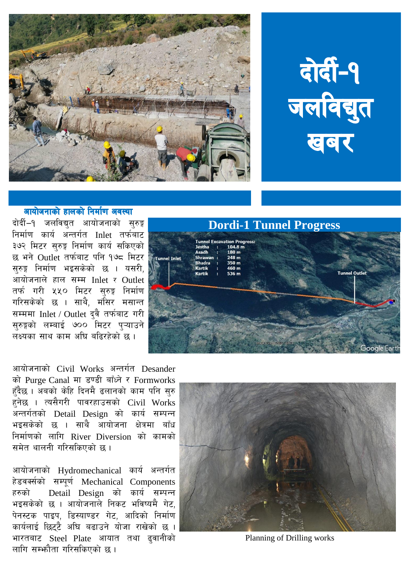

## वोर्दी-१ जलविद्युत प्रवर

## आयोजनाको हालको निर्माण अवस्था

दोर्दी–१ जलविद्युत आयोजनाको सुरुङ्ग निर्माण कार्य अन्तर्गत Inlet तर्फबाट ३७२ मिटर सरुङ्ग निर्माण कार्य सकिएको छ भने Outlet तर्फबाट पनि १७८ मिटर । सरुङ्ग निर्माण भइसकेको छ । यसरी. आयोजनाले हाल सम्म $\overline{\phantom{a}}$  Inlet  $\overline{\phantom{a}}$  Outlet तर्फ गरी ५५० मिटर सरुङ्ग निर्माण गरिसकेको छ । साथै, मंसिर मसान्त सम्ममा Inlet / Outlet दवै तर्फबाट गरी सुरुङ्गको लम्बाई ७०० मिटर प्ऱ्याउने लक्ष्यका साथ काम अधि बढिरहेको छ ।

**Dordi-1 Tunnel Progress** cavation Progre **Tunnel Inlet Tunnel Outlet** 

आयोजनाको Civil Works अन्तर्गत Desander को Purge Canal मा डण्डी बाँध्ने र Formworks हुँदैछ । अबको केहि दिनमै ढलानको काम पनि सरु हनेछ । त्यसैगरी पावरहाउसको Civil Works अन्तर्गतको Detail Design को कार्य सम्पन्न भड़सकेको छ । साथै आयोजना क्षेत्रमा बाँध निर्माणको लागि River Diversion को कामको समेत थालनी गरिसकिएको छ ।

आयोजनाको Hydromechanical कार्य अन्तर्गत हेडवर्क्सको सम्पूर्ण Mechanical Components हरुको  $\Gamma$  Detail Design को कार्य सम्पन्न भइसकेको छ । आयोजनाले निकट भविष्यमै गेट. पेनस्टक पाइप, डिस्याण्डर गेट, आदिको निर्माण कार्यलाई छिटटै अघि बढाउने योजा राखेको छ । भारतबाट Steel Plate आयात तथा ढ़वानीको लागि सम्भ्जौता गरिसकिएको छ ।



Planning of Drilling works